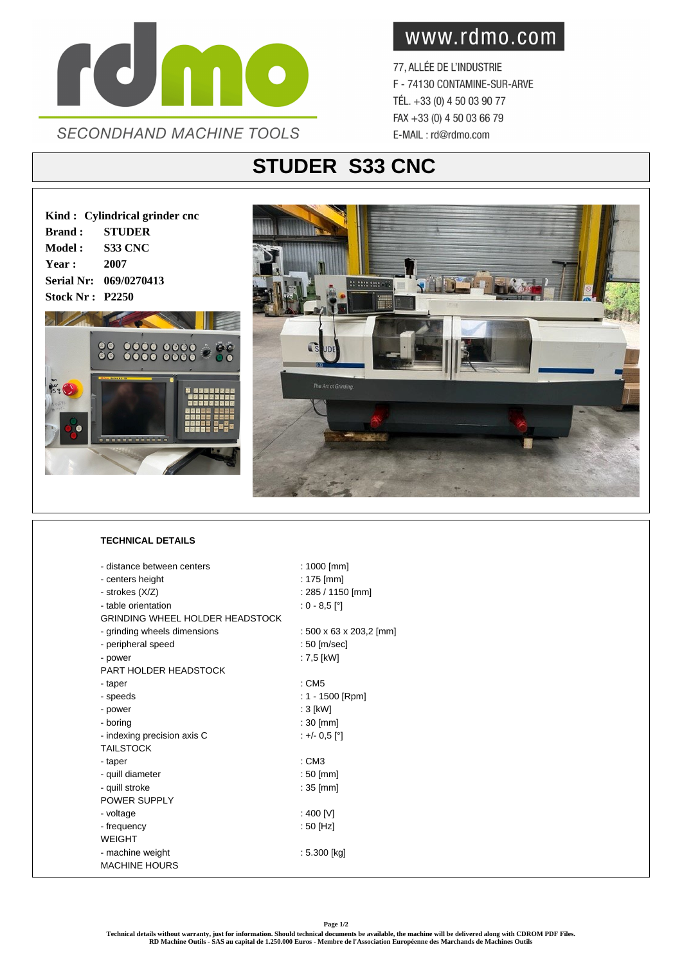

www.rdmo.com

77, ALLÉE DE L'INDUSTRIE F - 74130 CONTAMINE-SUR-ARVE TÉL. +33 (0) 4 50 03 90 77 FAX +33 (0) 4 50 03 66 79 E-MAIL: rd@rdmo.com

## **STUDER S33 CNC**

**Kind : Cylindrical grinder cnc Brand : STUDER Model : S33 CNC Year : 2007 Serial Nr: 069/0270413 Stock Nr : P2250**





## **TECHNICAL DETAILS**

| - distance between centers             | : $1000$ [mm]           |
|----------------------------------------|-------------------------|
| - centers height                       | $: 175$ [mm]            |
| - strokes (X/Z)                        | $: 285 / 1150$ [mm]     |
| - table orientation                    | $: 0 - 8.5$ [°]         |
| <b>GRINDING WHEEL HOLDER HEADSTOCK</b> |                         |
| - grinding wheels dimensions           | : 500 x 63 x 203,2 [mm] |
| - peripheral speed                     | : 50 [m/sec]            |
| - power                                | : 7,5 [kW]              |
| PART HOLDER HEADSTOCK                  |                         |
| - taper                                | $:$ CM5                 |
| - speeds                               | : $1 - 1500$ [Rpm]      |
| - power                                | $:3$ [kW]               |
| - boring                               | $:30$ [mm]              |
| - indexing precision axis C            | $: +/- 0.5$ [°]         |
| <b>TAILSTOCK</b>                       |                         |
| - taper                                | : CM3                   |
| - quill diameter                       | $:50$ [mm]              |
| - quill stroke                         | $: 35$ [mm]             |
| <b>POWER SUPPLY</b>                    |                         |
| - voltage                              | : 400 [V]               |
| - frequency                            | : 50 [Hz]               |
| <b>WEIGHT</b>                          |                         |
| - machine weight                       | : 5.300 [kg]            |
| <b>MACHINE HOURS</b>                   |                         |
|                                        |                         |

**Page 1/2**